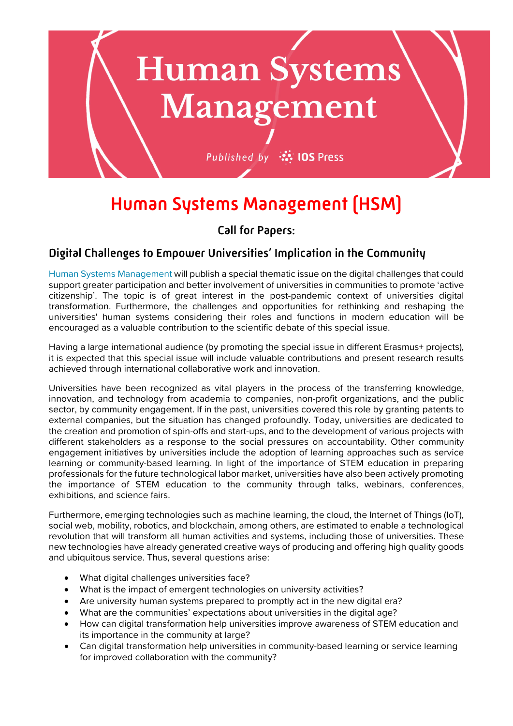

# Human Systems Management (HSM)

## Call for Papers:

### Digital Challenges to Empower Universities' Implication in the Community

[Human Systems Management](https://www.iospress.com/human-systems-management/) will publish a special thematic issue on the digital challenges that could support greater participation and better involvement of universities in communities to promote 'active citizenship'. The topic is of great interest in the post-pandemic context of universities digital transformation. Furthermore, the challenges and opportunities for rethinking and reshaping the universities' human systems considering their roles and functions in modern education will be encouraged as a valuable contribution to the scientific debate of this special issue.

Having a large international audience (by promoting the special issue in different Erasmus+ projects), it is expected that this special issue will include valuable contributions and present research results achieved through international collaborative work and innovation.

Universities have been recognized as vital players in the process of the transferring knowledge, innovation, and technology from academia to companies, non-profit organizations, and the public sector, by community engagement. If in the past, universities covered this role by granting patents to external companies, but the situation has changed profoundly. Today, universities are dedicated to the creation and promotion of spin-offs and start-ups, and to the development of various projects with different stakeholders as a response to the social pressures on accountability. Other community engagement initiatives by universities include the adoption of learning approaches such as service learning or community-based learning. In light of the importance of STEM education in preparing professionals for the future technological labor market, universities have also been actively promoting the importance of STEM education to the community through talks, webinars, conferences, exhibitions, and science fairs.

Furthermore, emerging technologies such as machine learning, the cloud, the Internet of Things (IoT), social web, mobility, robotics, and blockchain, among others, are estimated to enable a technological revolution that will transform all human activities and systems, including those of universities. These new technologies have already generated creative ways of producing and offering high quality goods and ubiquitous service. Thus, several questions arise:

- What digital challenges universities face?
- What is the impact of emergent technologies on university activities?
- Are university human systems prepared to promptly act in the new digital era?
- What are the communities' expectations about universities in the digital age?
- How can digital transformation help universities improve awareness of STEM education and its importance in the community at large?
- Can digital transformation help universities in community-based learning or service learning for improved collaboration with the community?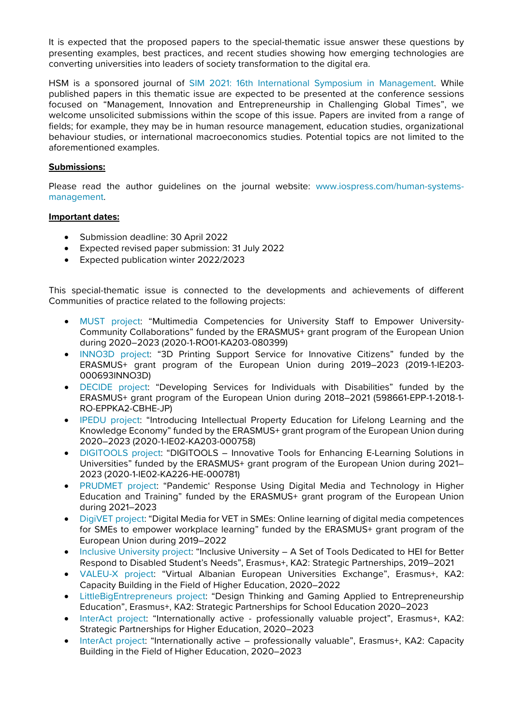It is expected that the proposed papers to the special-thematic issue answer these questions by presenting examples, best practices, and recent studies showing how emerging technologies are converting universities into leaders of society transformation to the digital era.

HSM is a sponsored journal of [SIM 2021: 16th International Symposium in Management.](http://www.sim2021.eu/) While published papers in this thematic issue are expected to be presented at the conference sessions focused on "Management, Innovation and Entrepreneurship in Challenging Global Times", we welcome unsolicited submissions within the scope of this issue. Papers are invited from a range of fields; for example, they may be in human resource management, education studies, organizational behaviour studies, or international macroeconomics studies. Potential topics are not limited to the aforementioned examples.

#### **Submissions:**

Please read the author guidelines on the journal website: [www.iospress.com/human-systems](http://www.iospress.com/human-systems-management)[management.](http://www.iospress.com/human-systems-management)

#### **Important dates:**

- Submission deadline: 30 April 2022
- Expected revised paper submission: 31 July 2022
- Expected publication winter 2022/2023

This special-thematic issue is connected to the developments and achievements of different Communities of practice related to the following projects:

- [MUST project:](https://mustproject.eu/) "Multimedia Competencies for University Staff to Empower University-Community Collaborations" funded by the ERASMUS+ grant program of the European Union during 2020–2023 (2020-1-RO01-KA203-080399)
- [INNO3D project:](https://www.inno3d.eu/) "3D Printing Support Service for Innovative Citizens" funded by the ERASMUS+ grant program of the European Union during 2019-2023 (2019-1-IE203-000693INNO3D)
- [DECIDE project:](http://www.decideproject.ie/) "Developing Services for Individuals with Disabilities" funded by the ERASMUS+ grant program of the European Union during 2018–2021 (598661-EPP-1-2018-1- RO-EPPKA2-CBHE-JP)
- [IPEDU project:](https://www.iscap.ipp.pt/investigacao-1/projetos/a-decorrer/ipedu) "Introducing Intellectual Property Education for Lifelong Learning and the Knowledge Economy" funded by the ERASMUS+ grant program of the European Union during 2020–2023 (2020-1-IE02-KA203-000758)
- [DIGITOOLS project:](https://www.iscap.ipp.pt/investigacao-1/projetos/a-decorrer/digitools) "DIGITOOLS Innovative Tools for Enhancing E-Learning Solutions in Universities" funded by the ERASMUS+ grant program of the European Union during 2021– 2023 (2020-1-IE02-KA226-HE-000781)
- [PRUDMET project:](https://prudmet.eu/) "Pandemic' Response Using Digital Media and Technology in Higher Education and Training" funded by the ERASMUS+ grant program of the European Union during 2021–2023
- [DigiVET project:](https://digivetproject.eu/) "Digital Media for VET in SMEs: Online learning of digital media competences for SMEs to empower workplace learning" funded by the ERASMUS+ grant program of the European Union during 2019–2022
- [Inclusive University project:](https://wspaerasmus.wixsite.com/inclusiveuniversity) "Inclusive University A Set of Tools Dedicated to HEI for Better Respond to Disabled Student's Needs", Erasmus+, KA2: Strategic Partnerships, 2019–2021
- [VALEU-X project:](https://valeu-x.eu/) "Virtual Albanian European Universities Exchange", Erasmus+, KA2: Capacity Building in the Field of Higher Education, 2020–2022
- [LittleBigEntrepreneurs project:](https://littlebigentrepreneurs.eu/#partners) "Design Thinking and Gaming Applied to Entrepreneurship Education", Erasmus+, KA2: Strategic Partnerships for School Education 2020–2023
- [InterAct project:](https://wspaerasmus.wixsite.com/website) "Internationally active professionally valuable project", Erasmus+, KA2: Strategic Partnerships for Higher Education, 2020–2023
- [InterAct project:](https://ihilead.id/) "Internationally active professionally valuable", Erasmus+, KA2: Capacity Building in the Field of Higher Education, 2020–2023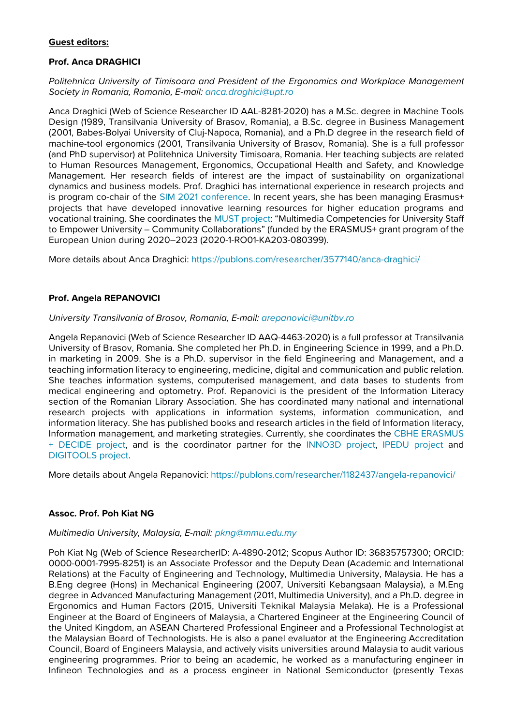#### **Guest editors:**

#### **Prof. Anca DRAGHICI**

*Politehnica University of Timisoara and President of the Ergonomics and Workplace Management Society in Romania, Romania, E-mail: [anca.draghici@upt.ro](mailto:anca.draghici@upt.ro)*

Anca Draghici (Web of Science Researcher ID AAL-8281-2020) has a M.Sc. degree in Machine Tools Design (1989, Transilvania University of Brasov, Romania), a B.Sc. degree in Business Management (2001, Babes-Bolyai University of Cluj-Napoca, Romania), and a Ph.D degree in the research field of machine-tool ergonomics (2001, Transilvania University of Brasov, Romania). She is a full professor (and PhD supervisor) at Politehnica University Timisoara, Romania. Her teaching subjects are related to Human Resources Management, Ergonomics, Occupational Health and Safety, and Knowledge Management. Her research fields of interest are the impact of sustainability on organizational dynamics and business models. Prof. Draghici has international experience in research projects and is program co-chair of the [SIM 2021 conference.](http://www.sim2021.eu/chairs.html) In recent years, she has been managing Erasmus+ projects that have developed innovative learning resources for higher education programs and vocational training. She coordinates the [MUST project:](https://mustproject.eu/) "Multimedia Competencies for University Staff to Empower University – Community Collaborations" (funded by the ERASMUS+ grant program of the European Union during 2020–2023 (2020-1-RO01-KA203-080399).

More details about Anca Draghici:<https://publons.com/researcher/3577140/anca-draghici/>

#### **Prof. Angela REPANOVICI**

#### *University Transilvania of Brasov, Romania, E-mail: [arepanovici@unitbv.ro](mailto:arepanovici@unitbv.ro)*

Angela Repanovici (Web of Science Researcher ID [AAQ-4463-2020\)](https://publons.com/researcher/AAQ-4463-2020/) is a full professor at Transilvania University of Brasov, Romania. She completed her Ph.D. in Engineering Science in 1999, and a Ph.D. in marketing in 2009. She is a Ph.D. supervisor in the field Engineering and Management, and a teaching information literacy to engineering, medicine, digital and communication and public relation. She teaches information systems, computerised management, and data bases to students from medical engineering and optometry. Prof. Repanovici is the president of the Information Literacy section of the Romanian Library Association. She has coordinated many national and international research projects with applications in information systems, information communication, and information literacy. She has published books and research articles in the field of Information literacy, Information management, and marketing strategies. Currently, she coordinates the [CBHE ERASMUS](http://www.decideproject.ie/)  [+ DECIDE](http://www.decideproject.ie/) project, and is the coordinator partner for the [INNO3D project,](https://www.inno3d.eu/) IPEDU [project](https://www.iscap.ipp.pt/investigacao-1/projetos/a-decorrer/ipedu) and [DIGITOOLS](https://www.iscap.ipp.pt/investigacao-1/projetos/a-decorrer/digitools) project.

More details about Angela Repanovici:<https://publons.com/researcher/1182437/angela-repanovici/>

#### **Assoc. Prof. Poh Kiat NG**

#### *Multimedia University, Malaysia, E-mail: [pkng@mmu.edu.my](mailto:pkng@mmu.edu.my)*

Poh Kiat Ng (Web of Science ResearcherID: A-4890-2012; Scopus Author ID: 36835757300; ORCID: 0000-0001-7995-8251) is an Associate Professor and the Deputy Dean (Academic and International Relations) at the Faculty of Engineering and Technology, Multimedia University, Malaysia. He has a B.Eng degree (Hons) in Mechanical Engineering (2007, Universiti Kebangsaan Malaysia), a M.Eng degree in Advanced Manufacturing Management (2011, Multimedia University), and a Ph.D. degree in Ergonomics and Human Factors (2015, Universiti Teknikal Malaysia Melaka). He is a Professional Engineer at the Board of Engineers of Malaysia, a Chartered Engineer at the Engineering Council of the United Kingdom, an ASEAN Chartered Professional Engineer and a Professional Technologist at the Malaysian Board of Technologists. He is also a panel evaluator at the Engineering Accreditation Council, Board of Engineers Malaysia, and actively visits universities around Malaysia to audit various engineering programmes. Prior to being an academic, he worked as a manufacturing engineer in Infineon Technologies and as a process engineer in National Semiconductor (presently Texas